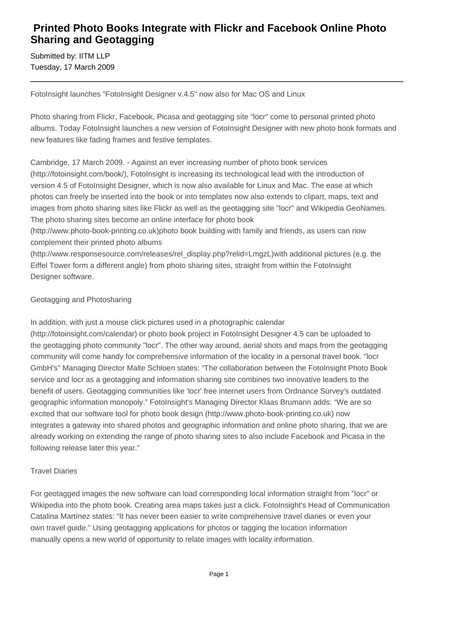# **Printed Photo Books Integrate with Flickr and Facebook Online Photo Sharing and Geotagging**

Submitted by: IITM LLP Tuesday, 17 March 2009

FotoInsight launches "FotoInsight Designer v.4.5" now also for Mac OS and Linux

Photo sharing from Flickr, Facebook, Picasa and geotagging site "locr" come to personal printed photo albums. Today FotoInsight launches a new version of FotoInsight Designer with new photo book formats and new features like fading frames and festive templates.

Cambridge, 17 March 2009. - Against an ever increasing number of photo book services (http://fotoinsight.com/book/), FotoInsight is increasing its technological lead with the introduction of version 4.5 of FotoInsight Designer, which is now also available for Linux and Mac. The ease at which photos can freely be inserted into the book or into templates now also extends to clipart, maps, text and images from photo sharing sites like Flickr as well as the geotagging site "locr" and Wikipedia GeoNames. The photo sharing sites become an online interface for photo book

(http://www.photo-book-printing.co.uk)photo book building with family and friends, as users can now complement their printed photo albums

(http://www.responsesource.com/releases/rel\_display.php?relid=LmgzL)with additional pictures (e.g. the Eiffel Tower form a different angle) from photo sharing sites, straight from within the FotoInsight Designer software.

## Geotagging and Photosharing

In addition, with just a mouse click pictures used in a photographic calendar

(http://fotoinsight.com/calendar) or photo book project in FotoInsight Designer 4.5 can be uploaded to the geotagging photo community "locr". The other way around, aerial shots and maps from the geotagging community will come handy for comprehensive information of the locality in a personal travel book. "locr GmbH's" Managing Director Malte Schloen states: "The collaboration between the FotoInsight Photo Book service and locr as a geotagging and information sharing site combines two innovative leaders to the benefit of users. Geotagging communities like 'locr' free internet users from Ordnance Survey's outdated geographic information monopoly." FotoInsight's Managing Director Klaas Brumann adds: "We are so excited that our software tool for photo book design (http://www.photo-book-printing.co.uk) now integrates a gateway into shared photos and geographic information and online photo sharing, that we are already working on extending the range of photo sharing sites to also include Facebook and Picasa in the following release later this year."

### Travel Diaries

For geotagged images the new software can load corresponding local information straight from "locr" or Wikipedia into the photo book. Creating area maps takes just a click. FotoInsight's Head of Communication Catalina Martínez states: "It has never been easier to write comprehensive travel diaries or even your own travel guide." Using geotagging applications for photos or tagging the location information manually opens a new world of opportunity to relate images with locality information.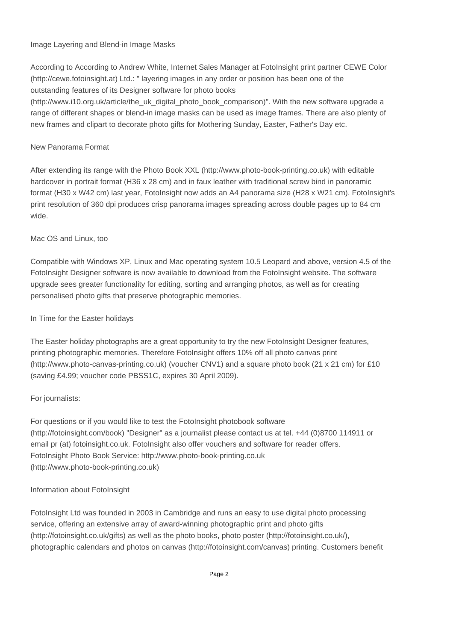#### Image Layering and Blend-in Image Masks

According to According to Andrew White, Internet Sales Manager at FotoInsight print partner CEWE Color (http://cewe.fotoinsight.at) Ltd.: " layering images in any order or position has been one of the outstanding features of its Designer software for photo books

(http://www.i10.org.uk/article/the\_uk\_digital\_photo\_book\_comparison)". With the new software upgrade a range of different shapes or blend-in image masks can be used as image frames. There are also plenty of new frames and clipart to decorate photo gifts for Mothering Sunday, Easter, Father's Day etc.

### New Panorama Format

After extending its range with the Photo Book XXL (http://www.photo-book-printing.co.uk) with editable hardcover in portrait format (H36 x 28 cm) and in faux leather with traditional screw bind in panoramic format (H30 x W42 cm) last year, FotoInsight now adds an A4 panorama size (H28 x W21 cm). FotoInsight's print resolution of 360 dpi produces crisp panorama images spreading across double pages up to 84 cm wide.

#### Mac OS and Linux, too

Compatible with Windows XP, Linux and Mac operating system 10.5 Leopard and above, version 4.5 of the FotoInsight Designer software is now available to download from the FotoInsight website. The software upgrade sees greater functionality for editing, sorting and arranging photos, as well as for creating personalised photo gifts that preserve photographic memories.

#### In Time for the Easter holidays

The Easter holiday photographs are a great opportunity to try the new FotoInsight Designer features, printing photographic memories. Therefore FotoInsight offers 10% off all photo canvas print (http://www.photo-canvas-printing.co.uk) (voucher CNV1) and a square photo book (21 x 21 cm) for £10 (saving £4.99; voucher code PBSS1C, expires 30 April 2009).

### For journalists:

For questions or if you would like to test the FotoInsight photobook software (http://fotoinsight.com/book) "Designer" as a journalist please contact us at tel. +44 (0)8700 114911 or email pr (at) fotoinsight.co.uk. FotoInsight also offer vouchers and software for reader offers. FotoInsight Photo Book Service: http://www.photo-book-printing.co.uk (http://www.photo-book-printing.co.uk)

### Information about FotoInsight

FotoInsight Ltd was founded in 2003 in Cambridge and runs an easy to use digital photo processing service, offering an extensive array of award-winning photographic print and photo gifts (http://fotoinsight.co.uk/gifts) as well as the photo books, photo poster (http://fotoinsight.co.uk/), photographic calendars and photos on canvas (http://fotoinsight.com/canvas) printing. Customers benefit